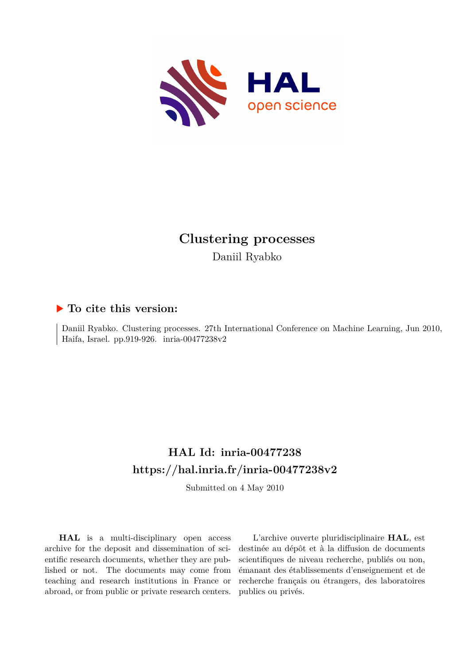

# **Clustering processes** Daniil Ryabko

## **To cite this version:**

Daniil Ryabko. Clustering processes. 27th International Conference on Machine Learning, Jun 2010, Haifa, Israel. pp.919-926. inria-00477238v2

# **HAL Id: inria-00477238 <https://hal.inria.fr/inria-00477238v2>**

Submitted on 4 May 2010

**HAL** is a multi-disciplinary open access archive for the deposit and dissemination of scientific research documents, whether they are published or not. The documents may come from teaching and research institutions in France or abroad, or from public or private research centers.

L'archive ouverte pluridisciplinaire **HAL**, est destinée au dépôt et à la diffusion de documents scientifiques de niveau recherche, publiés ou non, émanant des établissements d'enseignement et de recherche français ou étrangers, des laboratoires publics ou privés.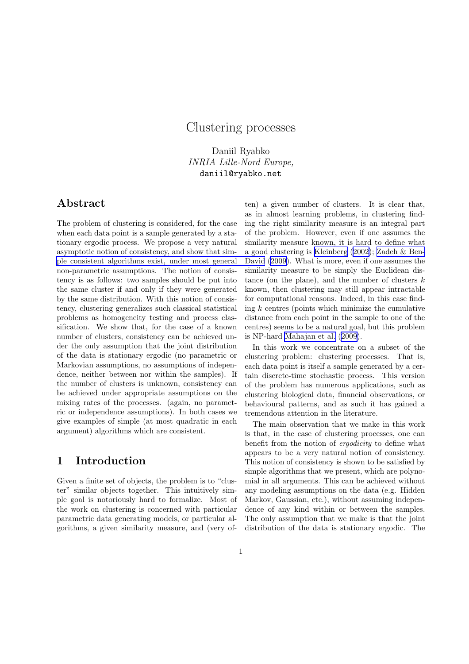## Clustering processes

Daniil Ryabko INRIA Lille-Nord Europe, daniil@ryabko.net

### Abstract

The problem of clustering is considered, for the case when each data point is a sample generated by a stationary ergodic process. We propose a very natural asymptotic notion of consistency, and show that sim[ple consistent algorithms exist, under most general](#page-10-0) non-parametric assumptions. The notion of consistency is as follows: two samples should be put into the same cluster if and only if they were generated by the same distribution. With this notion of consistency, clustering generalizes such classical statistical problems as homogeneity testing and process classification. We show that, for the case of a known number of clusters, consistency can be achieved under the only assumption that the joint distribution of the data is stationary ergodic (no parametric or Markovian assumptions, no assumptions of independence, neither between nor within the samples). If the number of clusters is unknown, consistency can be achieved under appropriate assumptions on the mixing rates of the processes. (again, no parametric or independence assumptions). In both cases we give examples of simple (at most quadratic in each argument) algorithms which are consistent.

### 1 Introduction

Given a finite set of objects, the problem is to "cluster" similar objects together. This intuitively simple goal is notoriously hard to formalize. Most of the work on clustering is concerned with particular parametric data generating models, or particular algorithms, a given similarity measure, and (very often) a given number of clusters. It is clear that, as in almost learning problems, in clustering finding the right similarity measure is an integral part of the problem. However, even if one assumes the similarity measure known, it is hard to define what a good clustering is [Kleinberg](#page-10-0) ([2002](#page-10-0)); [Zadeh & Ben-](#page-10-0)David [\(2009](#page-10-0)). What is more, even if one assumes the similarity measure to be simply the Euclidean distance (on the plane), and the number of clusters  $k$ known, then clustering may still appear intractable for computational reasons. Indeed, in this case finding  $k$  centres (points which minimize the cumulative distance from each point in the sample to one of the centres) seems to be a natural goal, but this problem is NP-hard [Mahajan et al.](#page-10-0) ([2009\)](#page-10-0).

In this work we concentrate on a subset of the clustering problem: clustering processes. That is, each data point is itself a sample generated by a certain discrete-time stochastic process. This version of the problem has numerous applications, such as clustering biological data, financial observations, or behavioural patterns, and as such it has gained a tremendous attention in the literature.

The main observation that we make in this work is that, in the case of clustering processes, one can benefit from the notion of ergodicity to define what appears to be a very natural notion of consistency. This notion of consistency is shown to be satisfied by simple algorithms that we present, which are polynomial in all arguments. This can be achieved without any modeling assumptions on the data (e.g. Hidden Markov, Gaussian, etc.), without assuming independence of any kind within or between the samples. The only assumption that we make is that the joint distribution of the data is stationary ergodic. The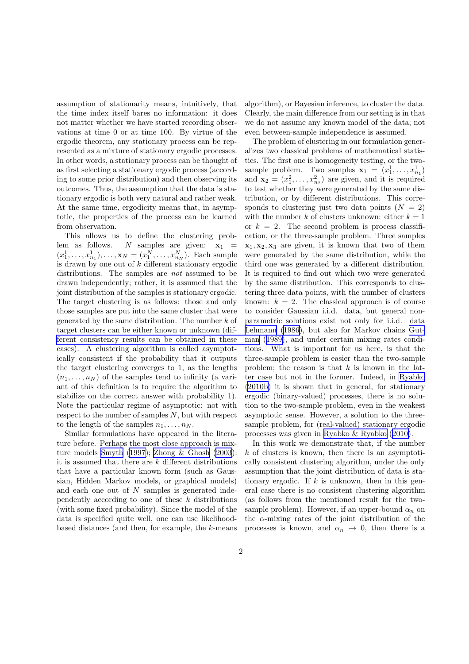assumption of stationarity means, intuitively, that the time index itself bares no information: it does not matter whether we have started recording observations at time 0 or at time 100. By virtue of the ergodic theorem, any stationary process can be represented as a mixture of stationary ergodic processes. In other words, a stationary process can be thought of as first selecting a stationary ergodic process (according to some prior distribution) and then observing its outcomes. Thus, the assumption that the data is stationary ergodic is both very natural and rather weak. At the same time, ergodicity means that, in asymptotic, the properties of the process can be learned from observation.

This allows us to define the clustering problem as follows. N samples are given:  $x_1$  =  $(x_1^1, \ldots, x_{n_1}^1), \ldots, \mathbf{x}_N = (x_1^N, \ldots, x_{n_N}^N)$ . Each sample is drawn by one out of  $k$  different stationary ergodic distributions. The samples are not assumed to be drawn independently; rather, it is assumed that the joint distribution of the samples is stationary ergodic. The target clustering is as follows: those and only those samples are put into the same cluster that were generated by the same distribution. The number  $k$  of target clusters can be either known or unknown (dif[ferent consistency results can be obtained in these](#page-10-0) cases). A clustering algorithm is called asymptotically consistent if the probability that it outputs the target clustering converges to 1, as the lengths  $(n_1, \ldots, n_N)$  of the samples tend to infinity (a variant of this definition is to require the algorithm to stabilize on the correct answer with probability 1). Note the particular regime of asymptotic: not with respect to the number of samples  $N$ , but with respect to the length of the samples  $n_1, \ldots, n_N$ .

Similar formulations have appeared in the literature before. Perhaps the most close approach is mixture models [Smyth \(1997\)](#page-10-0); [Zhong & Ghosh \(2003](#page-10-0)): it is assumed that there are  $k$  different distributions that have a particular known form (such as Gaussian, Hidden Markov models, or graphical models) and each one out of N samples is generated independently according to one of these  $k$  distributions (with some fixed probability). Since the model of the data is specified quite well, one can use likelihoodbased distances (and then, for example, the k-means

algorithm), or Bayesian inference, to cluster the data. Clearly, the main difference from our setting is in that we do not assume any known model of the data; not even between-sample independence is assumed.

The problem of clustering in our formulation generalizes two classical problems of mathematical statistics. The first one is homogeneity testing, or the twosample problem. Two samples  $\mathbf{x}_1 = (x_1^1, \dots, x_{n_1}^1)$ and  $\mathbf{x}_2 = (x_1^2, \dots, x_{n_2}^2)$  are given, and it is required to test whether they were generated by the same distribution, or by different distributions. This corresponds to clustering just two data points  $(N = 2)$ with the number k of clusters unknown: either  $k = 1$ or  $k = 2$ . The second problem is process classification, or the three-sample problem. Three samples  $x_1, x_2, x_3$  are given, it is known that two of them were generated by the same distribution, while the third one was generated by a different distribution. It is required to find out which two were generated by the same distribution. This corresponds to clustering three data points, with the number of clusters known:  $k = 2$ . The classical approach is of course to consider Gaussian i.i.d. data, but general nonparametric solutions exist not only for i.i.d. data [Lehmann](#page-10-0) ([1986\)](#page-10-0), but also for Markov chains [Gut](#page-10-0)man([1989\)](#page-10-0), and under certain mixing rates conditions. What is important for us here, is that the three-sample problem is easier than the two-sample problem; the reason is that  $k$  is known in the latter case but not in the former. Indeed, in [Ryabko](#page-10-0) [\(2010b](#page-10-0)) it is shown that in general, for stationary ergodic (binary-valued) processes, there is no solution to the two-sample problem, even in the weakest asymptotic sense. However, a solution to the threesample problem, for (real-valued) stationary ergodic processes was given in [Ryabko & Ryabko](#page-10-0) ([2010\)](#page-10-0).

In this work we demonstrate that, if the number  $k$  of clusters is known, then there is an asymptotically consistent clustering algorithm, under the only assumption that the joint distribution of data is stationary ergodic. If  $k$  is unknown, then in this general case there is no consistent clustering algorithm (as follows from the mentioned result for the twosample problem). However, if an upper-bound  $\alpha_n$  on the  $\alpha$ -mixing rates of the joint distribution of the processes is known, and  $\alpha_n \to 0$ , then there is a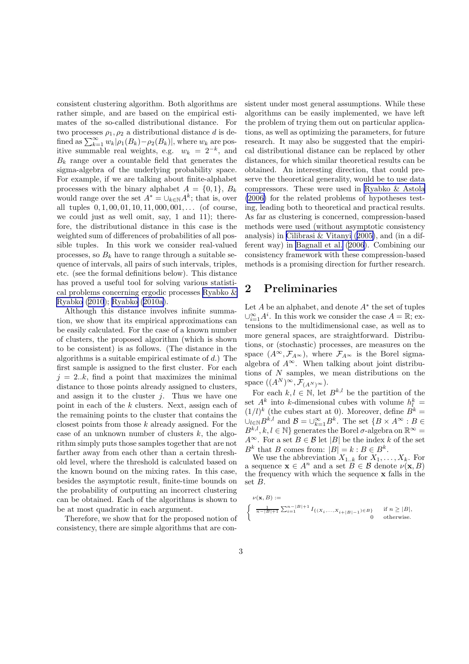consistent clustering algorithm. Both algorithms are rather simple, and are based on the empirical estimates of the so-called distributional distance. For two processes  $\rho_1, \rho_2$  a distributional distance d is defined as  $\sum_{k=1}^{\infty} w_k |\rho_1(B_k) - \rho_2(B_k)|$ , where  $w_k$  are positive summable real weights, e.g.  $w_k = 2^{-k}$ , and  $B_k$  range over a countable field that generates the sigma-algebra of the underlying probability space. For example, if we are talking about finite-alphabet processes with the binary alphabet  $A = \{0, 1\}, B_k$ would range over the set  $A^* = \bigcup_{k \in \mathbb{N}} A^k$ ; that is, over all tuples  $0, 1, 00, 01, 10, 11, 000, 001, \ldots$  (of course, we could just as well omit, say, 1 and 11); therefore, the distributional distance in this case is the weighted sum of differences of probabilities of all possible tuples. In this work we consider real-valued processes, so  $B_k$  have to range through a suitable sequence of intervals, all pairs of such intervals, triples, etc. (see the formal definitions below). This distance has proved a useful tool for solving various statistical problems concerning ergodic processes [Ryabko &](#page-10-0) [Ryabko](#page-10-0) ([2010](#page-10-0)); [Ryabko](#page-10-0) ([2010a\)](#page-10-0).

Although this distance involves infinite summation, we show that its empirical approximations can be easily calculated. For the case of a known number of clusters, the proposed algorithm (which is shown to be consistent) is as follows. (The distance in the algorithms is a suitable empirical estimate of  $d$ .) The first sample is assigned to the first cluster. For each  $j = 2..k$ , find a point that maximizes the minimal distance to those points already assigned to clusters, and assign it to the cluster  $i$ . Thus we have one point in each of the k clusters. Next, assign each of the remaining points to the cluster that contains the closest points from those  $k$  already assigned. For the case of an unknown number of clusters  $k$ , the algorithm simply puts those samples together that are not farther away from each other than a certain threshold level, where the threshold is calculated based on the known bound on the mixing rates. In this case, besides the asymptotic result, finite-time bounds on the probability of outputting an incorrect clustering can be obtained. Each of the algorithms is shown to be at most quadratic in each argument.

Therefore, we show that for the proposed notion of consistency, there are simple algorithms that are consistent under most general assumptions. While these algorithms can be easily implemented, we have left the problem of trying them out on particular applications, as well as optimizing the parameters, for future research. It may also be suggested that the empirical distributional distance can be replaced by other distances, for which similar theoretical results can be obtained. An interesting direction, that could preserve the theoretical generality, would be to use data compressors. These were used in [Ryabko & Astola](#page-10-0) [\(2006\)](#page-10-0) for the related problems of hypotheses testing, leading both to theoretical and practical results. As far as clustering is concerned, compression-based methods were used (without asymptotic consistency analysis) in [Cilibrasi & Vitanyi](#page-10-0) ([2005\)](#page-10-0), and (in a different way) in [Bagnall et al.](#page-9-0) ([2006](#page-9-0)). Combining our consistency framework with these compression-based methods is a promising direction for further research.

#### 2 Preliminaries

Let  $A$  be an alphabet, and denote  $A^*$  the set of tuples  $\bigcup_{i=1}^{\infty} A^i$ . In this work we consider the case  $A = \mathbb{R}$ ; extensions to the multidimensional case, as well as to more general spaces, are straightforward. Distributions, or (stochastic) processes, are measures on the space  $(A^{\infty}, \mathcal{F}_{A^{\infty}})$ , where  $\mathcal{F}_{A^{\infty}}$  is the Borel sigmaalgebra of  $A^{\infty}$ . When talking about joint distributions of  $N$  samples, we mean distributions on the space  $((A^N)^\infty, \bar{\mathcal{F}}_{(A^N)^\infty}).$ 

For each  $k, l \in \mathbb{N}$ , let  $B^{k,l}$  be the partition of the set  $A^k$  into k-dimensional cubes with volume  $h_l^k =$  $(1/l)^k$  (the cubes start at 0). Moreover, define  $B^k =$  $\cup_{l\in\mathbb{N}}B^{k,l}$  and  $\mathcal{B}=\cup_{k=1}^{\infty}B^{k}$ . The set  $\{B\times A^{\infty}:B\in$  $B^{k,l}, k, l \in \mathbb{N}$  generates the Borel  $\sigma$ -algebra on  $\mathbb{R}^{\infty}$  =  $A^{\infty}$ . For a set  $B \in \mathcal{B}$  let |B| be the index k of the set  $B^k$  that B comes from:  $|B| = k : B \in B^k$ .

We use the abbreviation  $X_{1..k}$  for  $X_1, \ldots, X_k$ . For a sequence  $\mathbf{x} \in A^n$  and a set  $B \in \mathcal{B}$  denote  $\nu(\mathbf{x}, B)$ the frequency with which the sequence x falls in the set B.

$$
\begin{aligned} \nu(\mathbf{x},B) := \\ \left\{ \begin{array}{cl} \frac{1}{n-|B|+1}\sum_{i=1}^{n-|B|+1} I_{\{(X_i,...,X_{i+|B|-1})\in B\}} & \text{if } n\geq |B|, \\ 0 & \text{otherwise.} \end{array} \right. \end{aligned}
$$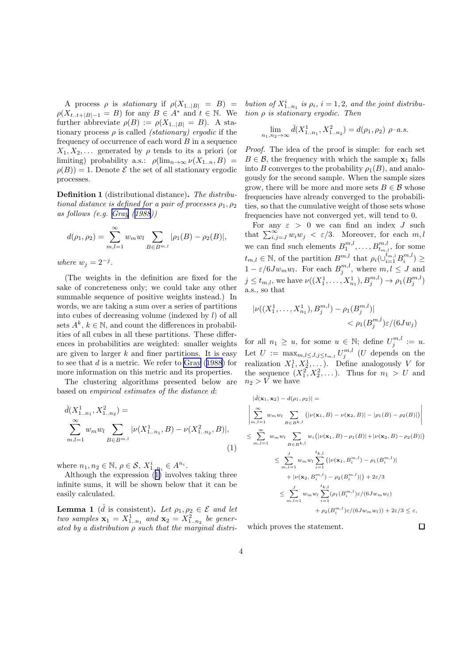<span id="page-4-0"></span>A process  $\rho$  is stationary if  $\rho(X_{1..|B|} = B)$  =  $\rho(X_{t..t+|B|-1} = B)$  for any  $B \in A^*$  and  $t \in \mathbb{N}$ . We further abbreviate  $\rho(B) := \rho(X_{1..|B|} = B)$ . A stationary process  $\rho$  is called *(stationary) ergodic* if the frequency of occurrence of each word  $B$  in a sequence  $X_1, X_2, \ldots$  generated by  $\rho$  tends to its a priori (or limiting) probability a.s.:  $\rho(\lim_{n\to\infty}\nu(X_{1..n},B))$  =  $\rho(B)$ ) = 1. Denote  $\mathcal E$  the set of all stationary ergodic processes.

Definition 1 (distributional distance). The distributional distance is defined for a pair of processes  $\rho_1$ ,  $\rho_2$ as follows (e.g. [Gray](#page-10-0) ([1988\)](#page-10-0))

$$
d(\rho_1, \rho_2) = \sum_{m,l=1}^{\infty} w_m w_l \sum_{B \in B^{m,l}} |\rho_1(B) - \rho_2(B)|,
$$

where  $w_j = 2^{-j}$ .

(The weights in the definition are fixed for the sake of concreteness only; we could take any other summable sequence of positive weights instead.) In words, we are taking a sum over a series of partitions into cubes of decreasing volume (indexed by l) of all sets  $A^k$ ,  $k \in \mathbb{N}$ , and count the differences in probabilities of all cubes in all these partitions. These differences in probabilities are weighted: smaller weights are given to larger  $k$  and finer partitions. It is easy to see that  $d$  is a metric. We refer to [Gray](#page-10-0) ([1988\)](#page-10-0) for more information on this metric and its properties.

The clustering algorithms presented below are based on empirical estimates of the distance d:

$$
\hat{d}(X_{1..n_1}^1, X_{1..n_2}^2) =
$$
\n
$$
\sum_{m,l=1}^{\infty} w_m w_l \sum_{B \in B^{m,l}} |\nu(X_{1..n_1}^1, B) - \nu(X_{1..n_2}^2, B)|,
$$
\n(1)

where  $n_1, n_2 \in \mathbb{N}$ ,  $\rho \in \mathcal{S}$ ,  $X_{1..n_i}^i \in A^{n_i}$ .

Although the expression (1) involves taking three infinite sums, it will be shown below that it can be easily calculated.

**Lemma 1** ( $\hat{d}$  is consistent). Let  $\rho_1, \rho_2 \in \mathcal{E}$  and let two samples  $\mathbf{x}_1 = X^1_{1..n_1}$  and  $\mathbf{x}_2 = X^2_{1..n_2}$  be generated by a distribution  $\rho$  such that the marginal distribution of  $X_{1..n_1}^i$  is  $\rho_i$ ,  $i = 1, 2$ , and the joint distribution  $\rho$  is stationary ergodic. Then

$$
\lim_{n_1, n_2 \to \infty} \hat{d}(X^1_{1..n_1}, X^2_{1..n_2}) = d(\rho_1, \rho_2) \ \rho-a.s.
$$

Proof. The idea of the proof is simple: for each set  $B \in \mathcal{B}$ , the frequency with which the sample  $\mathbf{x}_1$  falls into B converges to the probability  $\rho_1(B)$ , and analogously for the second sample. When the sample sizes grow, there will be more and more sets  $B \in \mathcal{B}$  whose frequencies have already converged to the probabilities, so that the cumulative weight of those sets whose frequencies have not converged yet, will tend to 0.

For any  $\varepsilon > 0$  we can find an index J such that  $\sum_{i,j=J}^{\infty} w_i w_j < \varepsilon/3$ . Moreover, for each  $m, l$ we can find such elements  $B_1^{m,l}, \ldots, B_{t_{m,l}}^{m,l}$ , for some  $t_{m,l} \in \mathbb{N}$ , of the partition  $B^{m,l}$ , that  $\rho_i(\cup_{i=1}^{t_{m,l}} B_i^{m,l}) \geq$  $1 - \varepsilon/6Jw_m w_l$ . For each  $B_j^{m,l}$ , where  $m, l \leq J$  and  $j \leq t_{m,l}$ , we have  $\nu((X_1^1, \ldots, X_{n_1}^1), B_j^{m,l}) \to \rho_1(B_j^{m,l})$ a.s., so that

$$
|\nu((X_1^1, \dots, X_{n_1}^1), B_j^{m,l}) - \rho_1(B_j^{m,l})|
$$
  

$$
< \rho_1(B_j^{m,l})\varepsilon/(6Jw_j)
$$

for all  $n_1 \geq u$ , for some  $u \in \mathbb{N}$ ; define  $U_j^{m,l} := u$ . Let  $U := \max_{m,l \leq J, j \leq t_{m,l}} U_j^{m,l}$  (*U* depends on the realization  $X_1^1, X_2^1, \ldots$ ). Define analogously V for the sequence  $(X_1^2, X_2^2, \dots)$ . Thus for  $n_1 > U$  and  $n_2 > V$  we have

$$
|\hat{d}(\mathbf{x}_{1}, \mathbf{x}_{2}) - d(\rho_{1}, \rho_{2})| =
$$
\n
$$
\left| \sum_{m,l=1}^{\infty} w_{m} w_{l} \sum_{B \in B^{k,l}} (|\nu(\mathbf{x}_{1}, B) - \nu(\mathbf{x}_{2}, B)| - |\rho_{1}(B) - \rho_{2}(B)|) \right|
$$
\n
$$
\leq \sum_{m,l=1}^{\infty} w_{m} w_{l} \sum_{B \in B^{k,l}} w_{i} (|\nu(\mathbf{x}_{1}, B) - \rho_{1}(B)| + |\nu(\mathbf{x}_{2}, B) - \rho_{2}(B)|)
$$
\n
$$
\leq \sum_{m,l=1}^{J} w_{m} w_{l} \sum_{i=1}^{t_{k,l}} (|\nu(\mathbf{x}_{1}, B_{i}^{m,l}) - \rho_{1}(B_{i}^{m,l})| + |\nu(\mathbf{x}_{2}, B_{i}^{m,l}) - \rho_{2}(B_{i}^{m,l})| + |\nu(\mathbf{x}_{2}, B_{i}^{m,l}) - \rho_{2}(B_{i}^{m,l})|) + 2\varepsilon/3
$$
\n
$$
\leq \sum_{m,l=1}^{J} w_{m} w_{l} \sum_{i=1}^{t_{k,l}} (\rho_{1}(B_{i}^{m,l}) \varepsilon/(6Jw_{m}w_{l})) + \rho_{2}(B_{i}^{m,l}) \varepsilon/(6Jw_{m}w_{l})) + 2\varepsilon/3 \leq \varepsilon,
$$

 $\Box$ 

which proves the statement.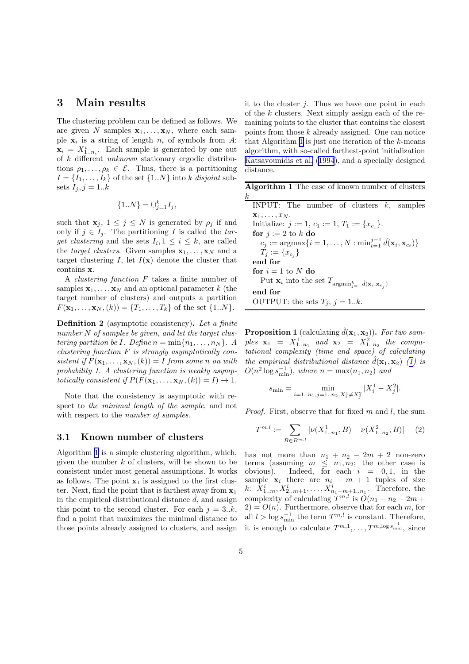#### <span id="page-5-0"></span>3 Main results

The clustering problem can be defined as follows. We are given N samples  $x_1, \ldots, x_N$ , where each sample  $\mathbf{x}_i$  is a string of length  $n_i$  of symbols from A:  $\mathbf{x}_i = X^i_{1..n_i}$ . Each sample is generated by one out of k different unknown stationary ergodic distributions  $\rho_1, \ldots, \rho_k \in \mathcal{E}$ . Thus, there is a partitioning  $I = \{I_1, \ldots, I_k\}$  of the set  $\{1..N\}$  into k disjoint subsets  $I_i, j = 1..k$ 

$$
\{1..N\} = \cup_{j=1}^{k} I_j,
$$

such that  $\mathbf{x}_i, 1 \leq j \leq N$  is generated by  $\rho_i$  if and only if  $j \in I_i$ . The partitioning I is called the target clustering and the sets  $I_i, 1 \leq i \leq k$ , are called the *target clusters*. Given samples  $\mathbf{x}_1, \ldots, \mathbf{x}_N$  and a target clustering I, let  $I(\mathbf{x})$  denote the cluster that contains x.

A clustering function F takes a finite number of samples  $x_1, \ldots, x_N$  and an optional parameter k (the target number of clusters) and outputs a partition  $F(\mathbf{x}_1, \ldots, \mathbf{x}_N, (k)) = \{T_1, \ldots, T_k\}$  of the set  $\{1..N\}.$ 

Definition 2 (asymptotic consistency). Let a finite number N of samples be given, and let the target clustering partition be I. Define  $n = \min\{n_1, \ldots, n_N\}$ . A clustering function  $F$  is strongly asymptotically consistent if  $F(\mathbf{x}_1, ..., \mathbf{x}_N, (k)) = I$  from some n on with probability 1. A clustering function is weakly asymptotically consistent if  $P(F(\mathbf{x}_1, ..., \mathbf{x}_N, (k)) = I) \rightarrow 1$ .

Note that the consistency is asymptotic with respect to the minimal length of the sample, and not with respect to the *number of samples*.

#### 3.1 Known number of clusters

Algorithm 1 is a simple clustering algorithm, which, given the number  $k$  of clusters, will be shown to be consistent under most general assumptions. It works as follows. The point  $x_1$  is assigned to the first cluster. Next, find the point that is farthest away from  $x_1$ in the empirical distributional distance  $\tilde{d}$ , and assign this point to the second cluster. For each  $j = 3..k$ , find a point that maximizes the minimal distance to those points already assigned to clusters, and assign it to the cluster  $i$ . Thus we have one point in each of the  $k$  clusters. Next simply assign each of the remaining points to the cluster that contains the closest points from those  $k$  already assigned. One can notice that Algorithm 1 is just one iteration of the  $k$ -means algorithm, with so-called farthest-point initialization [Katsavounidis et al. \(1994](#page-10-0)), and a specially designed distance.

Algorithm 1 The case of known number of clusters  $\frac{k}{2}$ 

| INPUT: The number of clusters $k$ , samples                                                              |
|----------------------------------------------------------------------------------------------------------|
| $\mathbf{x}_1,\ldots,x_N$ .                                                                              |
| Initialize: $j := 1, c_1 := 1, T_1 := \{x_{c_1}\}.$                                                      |
| for $j := 2$ to k do                                                                                     |
| $c_j := \text{argmax} \{ i = 1, \ldots, N : \min_{t=1}^{j-1} \hat{d}(\mathbf{x}_i, \mathbf{x}_{c_i}) \}$ |
| $T_j := \{x_{c_i}\}\$                                                                                    |
| end for                                                                                                  |
| for $i = 1$ to N do                                                                                      |
| Put $\mathbf{x}_i$ into the set $T_{\text{argmin}_{j=1}^k} \hat{d}(\mathbf{x}_i, \mathbf{x}_{c_j})$      |
| end for                                                                                                  |
| OUTPUT: the sets $T_i$ , $j = 1k$ .                                                                      |
|                                                                                                          |

**Proposition 1** (calculating  $\hat{d}(\mathbf{x}_1, \mathbf{x}_2)$ ). For two samples  $\mathbf{x}_1 = X^1_{1..n_1}$  and  $\mathbf{x}_2 = X^2_{1..n_2}$  the computational complexity (time and space) of calculating the empirical distributional distance  $\tilde{d}(\mathbf{x}_1, \mathbf{x}_2)$  ([1\)](#page-4-0) is  $O(n^2 \log s_{\min}^{-1}),$  where  $n = \max(n_1, n_2)$  and

$$
s_{\min} = \min_{i=1..n_1,j=1..n_2,X_i^1 \neq X_j^2} |X_i^1 - X_j^2|.
$$

*Proof.* First, observe that for fixed  $m$  and  $l$ , the sum

$$
T^{m,l} := \sum_{B \in B^{m,l}} |\nu(X^1_{1..n_1}, B) - \nu(X^2_{1..n_2}, B)| \quad (2)
$$

has not more than  $n_1 + n_2 - 2m + 2$  non-zero terms (assuming  $m \leq n_1, n_2$ ; the other case is obvious). Indeed, for each  $i = 0, 1$ , in the sample  $x_i$  there are  $n_i - m + 1$  tuples of size  $k: X_{1..m}^i, X_{2..m+1}^i, \ldots, X_{n_1-m+1..n_1}^i$ . Therefore, the complexity of calculating  $T^{m,l}$  is  $O(n_1 + n_2 - 2m +$  $2) = O(n)$ . Furthermore, observe that for each m, for all  $l > \log s_{\min}^{-1}$  the term  $T^{m,l}$  is constant. Therefore, it is enough to calculate  $T^{m,1}, \ldots, T^{m,\log s_{\min}^{-1}},$  since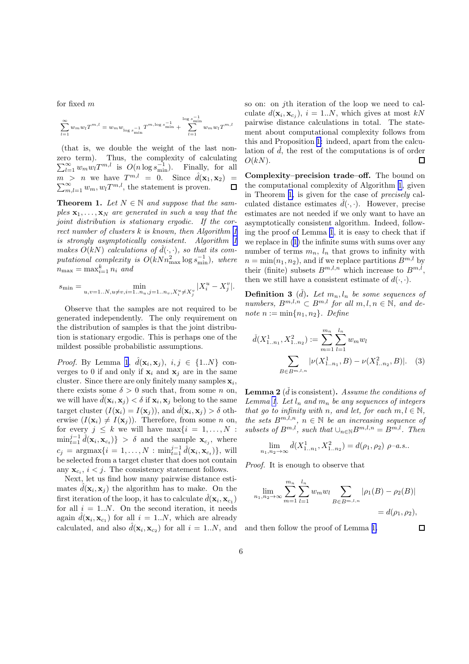<span id="page-6-0"></span>for fixed m

$$
\sum_{l=1}^{\infty} w_m w_l T^{m,l} = w_m w_{\log s_{\min}^{-1}} T^{m, \log s_{\min}^{-1}} + \sum_{l=1}^{\log s_{\min}^{-1}} w_m w_l T^{m,l}
$$

(that is, we double the weight of the last nonzero term). Thus, the complexity of calculating  $\sum_{l=1}^{\infty} w_m w_l T^{m,l}$  is  $O(n \log s_{\min}^{-1})$ . Finally, for all  $m > n$  we have  $T^{m,l} = 0$ . Since  $\hat{d}(\mathbf{x}_1, \mathbf{x}_2) =$  $\sum_{m,l=1}^{\infty} w_m, w_l T^{m,l}$ , the statement is proven.  $\Box$ 

**Theorem 1.** Let  $N \in \mathbb{N}$  and suppose that the samples  $\mathbf{x}_1, \ldots, \mathbf{x}_N$  are generated in such a way that the joint distribution is stationary ergodic. If the correct number of clusters  $k$  is known, then Algorithm [1](#page-5-0) is strongly asymptotically consistent. Algorithm [1](#page-5-0) makes  $O(kN)$  calculations of  $\hat{d}(\cdot, \cdot)$ , so that its computational complexity is  $O(kNn_{\text{max}}^2\log s_{\text{min}}^{-1})$ , where  $n_{\text{max}} = \max_{i=1}^k n_i$  and

$$
s_{\min} = \min_{u,v=1..N,u\neq v,i=1..n_u,j=1..n_v,X_i^u\neq X_j^v}|X_i^u - X_j^v|.
$$

Observe that the samples are not required to be generated independently. The only requirement on the distribution of samples is that the joint distribution is stationary ergodic. This is perhaps one of the mildest possible probabilistic assumptions.

*Proof.* By Lemma [1](#page-4-0),  $\hat{d}(\mathbf{x}_i, \mathbf{x}_j)$ ,  $i, j \in \{1..N\}$  converges to 0 if and only if  $x_i$  and  $x_j$  are in the same cluster. Since there are only finitely many samples  $\mathbf{x}_i$ , there exists some  $\delta > 0$  such that, from some n on, we will have  $\hat{d}(\mathbf{x}_i, \mathbf{x}_j) < \delta$  if  $\mathbf{x}_i, \mathbf{x}_j$  belong to the same target cluster  $(I(\mathbf{x}_i) = I(\mathbf{x}_j))$ , and  $\hat{d}(\mathbf{x}_i, \mathbf{x}_j) > \delta$  otherwise  $(I(\mathbf{x}_i) \neq I(\mathbf{x}_i))$ . Therefore, from some n on, for every  $j \leq k$  we will have  $\max\{i = 1, ..., N\}$ .  $\min_{t=1}^{j-1} \hat{d}(\mathbf{x}_i, \mathbf{x}_{c_t})$  >  $\delta$  and the sample  $\mathbf{x}_{c_j}$ , where  $c_j = \text{argmax} \{ i = 1, ..., N : \text{min}_{t=1}^{j-1} \hat{d}(\mathbf{x}_i, \mathbf{x}_{c_t}) \},$  will be selected from a target cluster that does not contain any  $\mathbf{x}_{c_i}$ ,  $i < j$ . The consistency statement follows.

Next, let us find how many pairwise distance estimates  $\hat{d}(\mathbf{x}_i, \mathbf{x}_j)$  the algorithm has to make. On the first iteration of the loop, it has to calculate  $\hat{d}(\mathbf{x}_i, \mathbf{x}_{c_1})$ for all  $i = 1..N$ . On the second iteration, it needs again  $\hat{d}(\mathbf{x}_i, \mathbf{x}_{c_1})$  for all  $i = 1..N$ , which are already calculated, and also  $\hat{d}(\mathbf{x}_i, \mathbf{x}_{c_2})$  for all  $i = 1..N$ , and

so on: on jth iteration of the loop we need to calculate  $d(\mathbf{x}_i, \mathbf{x}_{c_j}), i = 1..N$ , which gives at most  $kN$ pairwise distance calculations in total. The statement about computational complexity follows from this and Proposition [1:](#page-5-0) indeed, apart from the calculation of  $\hat{d}$ , the rest of the computations is of order  $O(kN)$ .  $\Box$ 

Complexity–precision trade–off. The bound on the computational complexity of Algorithm [1](#page-5-0), given in Theorem 1, is given for the case of precisely calculated distance estimates  $\hat{d}(\cdot, \cdot)$ . However, precise estimates are not needed if we only want to have an asymptotically consistent algorithm. Indeed, following the proof of Lemma [1](#page-4-0), it is easy to check that if we replace in [\(1](#page-4-0)) the infinite sums with sums over any number of terms  $m_n$ ,  $l_n$  that grows to infinity with  $n = \min(n_1, n_2)$ , and if we replace partitions  $B^{m,l}$  by their (finite) subsets  $B^{m,l,n}$  which increase to  $B^{m,l}$ , then we still have a consistent estimate of  $d(\cdot, \cdot)$ .

**Definition 3** ( $\check{d}$ ). Let  $m_n, l_n$  be some sequences of numbers,  $B^{m,l,n} \subset B^{m,l}$  for all  $m, l, n \in \mathbb{N}$ , and denote  $n := \min\{n_1, n_2\}$ . Define

$$
\check{d}(X_{1..n_1}^1, X_{1..n_2}^2) := \sum_{m=1}^{m_n} \sum_{l=1}^{l_n} w_m w_l
$$

$$
\sum_{B \in B^{m,l,n}} |\nu(X_{1..n_1}^1, B) - \nu(X_{1..n_2}^2, B)|. \quad (3)
$$

**Lemma 2** ( $\check{d}$  is consistent). Assume the conditions of Lemma [1](#page-4-0). Let  $l_n$  and  $m_n$  be any sequences of integers that go to infinity with n, and let, for each  $m, l \in \mathbb{N}$ , the sets  $B^{m,l,n}$ ,  $n \in \mathbb{N}$  be an increasing sequence of subsets of  $B^{m,l}$ , such that  $\bigcup_{n\in\mathbb{N}}B^{m,l,n}=B^{m,l}$ . Then

$$
\lim_{n_1, n_2 \to \infty} \tilde{d}(X^1_{1..n_1}, X^2_{1..n_2}) = d(\rho_1, \rho_2) \ \rho-a.s..
$$

Proof. It is enough to observe that

$$
\lim_{n_1, n_2 \to \infty} \sum_{m=1}^{m_n} \sum_{l=1}^{l_n} w_m w_l \sum_{B \in B^{m,l,n}} |\rho_1(B) - \rho_2(B)|
$$
  
=  $d(\rho_1, \rho_2)$ ,

 $\Box$ 

and then follow the proof of Lemma [1.](#page-4-0)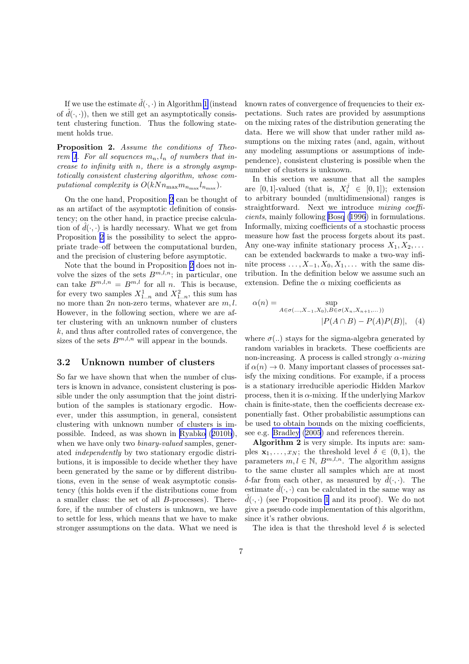If we use the estimate  $\tilde{d}(\cdot, \cdot)$  in Algorithm [1](#page-5-0) (instead of  $\hat{d}(\cdot, \cdot)$ , then we still get an asymptotically consistent clustering function. Thus the following statement holds true.

Proposition 2. Assume the conditions of Theo-rem [1](#page-6-0). For all sequences  $m_n, l_n$  of numbers that increase to infinity with n, there is a strongly asymptotically consistent clustering algorithm, whose computational complexity is  $O(kNn_{\text{max}}m_{n_{\text{max}}}l_{n_{\text{max}}}).$ 

On the one hand, Proposition 2 can be thought of as an artifact of the asymptotic definition of consistency; on the other hand, in practice precise calculation of  $\hat{d}(\cdot, \cdot)$  is hardly necessary. What we get from Proposition 2 is the possibility to select the appropriate trade–off between the computational burden, and the precision of clustering before asymptotic.

Note that the bound in Proposition 2 does not involve the sizes of the sets  $B^{m,l,n}$ ; in particular, one can take  $B^{m,l,n} = B^{m,l}$  for all n. This is because, for every two samples  $X_{1..n}^1$  and  $X_{1..n}^2$ , this sum has no more than  $2n$  non-zero terms, whatever are  $m, l$ . However, in the following section, where we are after clustering with an unknown number of clusters  $k$ , and thus after controlled rates of convergence, the sizes of the sets  $B^{m,l,n}$  will appear in the bounds.

#### 3.2 Unknown number of clusters

So far we have shown that when the number of clusters is known in advance, consistent clustering is possible under the only assumption that the joint distribution of the samples is stationary ergodic. However, under this assumption, in general, consistent clustering with unknown number of clusters is impossible. Indeed, as was shown in [Ryabko](#page-10-0) ([2010b](#page-10-0)), when we have only two *binary-valued* samples, generated independently by two stationary ergodic distributions, it is impossible to decide whether they have been generated by the same or by different distributions, even in the sense of weak asymptotic consistency (this holds even if the distributions come from a smaller class: the set of all B-processes). Therefore, if the number of clusters is unknown, we have to settle for less, which means that we have to make stronger assumptions on the data. What we need is known rates of convergence of frequencies to their expectations. Such rates are provided by assumptions on the mixing rates of the distribution generating the data. Here we will show that under rather mild assumptions on the mixing rates (and, again, without any modeling assumptions or assumptions of independence), consistent clustering is possible when the number of clusters is unknown.

In this section we assume that all the samples are [0, 1]-valued (that is,  $X_i^j \in [0,1]$ ); extension to arbitrary bounded (multidimensional) ranges is straightforward. Next we introduce mixing coefficients, mainly following [Bosq \(1996](#page-9-0)) in formulations. Informally, mixing coefficients of a stochastic process measure how fast the process forgets about its past. Any one-way infinite stationary process  $X_1, X_2, \ldots$ can be extended backwards to make a two-way infinite process  $\dots, X_{-1}, X_0, X_1, \dots$  with the same distribution. In the definition below we assume such an extension. Define the  $\alpha$  mixing coefficients as

$$
\alpha(n) = \sup_{A \in \sigma(\dots, X_{-1}, X_0), B \in \sigma(X_n, X_{n+1}, \dots))} |P(A \cap B) - P(A)P(B)|, \quad (4)
$$

where  $\sigma(.)$  stays for the sigma-algebra generated by random variables in brackets. These coefficients are non-increasing. A process is called strongly  $\alpha$ -mixing if  $\alpha(n) \to 0$ . Many important classes of processes satisfy the mixing conditions. For example, if a process is a stationary irreducible aperiodic Hidden Markov process, then it is  $\alpha$ -mixing. If the underlying Markov chain is finite-state, then the coefficients decrease exponentially fast. Other probabilistic assumptions can be used to obtain bounds on the mixing coefficients, see e.g. [Bradley \(2005](#page-9-0)) and references therein.

Algorithm 2 is very simple. Its inputs are: samples  $\mathbf{x}_1, \ldots, x_N$ ; the threshold level  $\delta \in (0, 1)$ , the parameters  $m, l \in \mathbb{N}$ ,  $B^{m,l,n}$ . The algorithm assigns to the same cluster all samples which are at most δ-far from each other, as measured by  $d(·, ·)$ . The estimate  $d(\cdot, \cdot)$  can be calculated in the same way as  $\hat{d}(\cdot, \cdot)$  (see Proposition [1](#page-5-0) and its proof). We do not give a pseudo code implementation of this algorithm, since it's rather obvious.

The idea is that the threshold level  $\delta$  is selected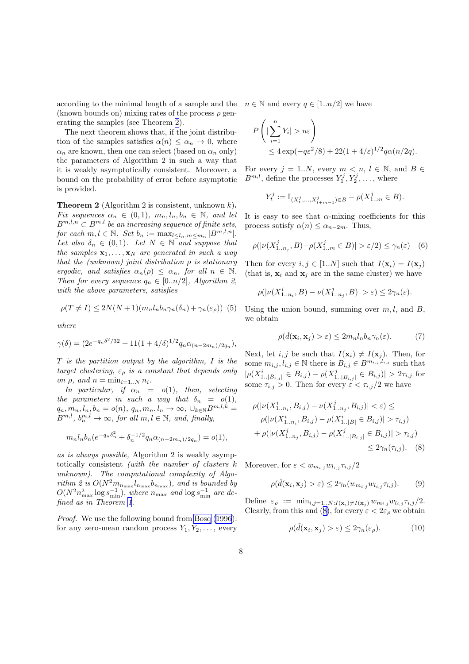<span id="page-8-0"></span>according to the minimal length of a sample and the (known bounds on) mixing rates of the process  $\rho$  generating the samples (see Theorem 2).

The next theorem shows that, if the joint distribution of the samples satisfies  $\alpha(n) \leq \alpha_n \to 0$ , where  $\alpha_n$  are known, then one can select (based on  $\alpha_n$  only) the parameters of Algorithm 2 in such a way that it is weakly asymptotically consistent. Moreover, a bound on the probability of error before asymptotic is provided.

**Theorem 2** (Algorithm 2 is consistent, unknown  $k$ ). Fix sequences  $\alpha_n \in (0,1)$ ,  $m_n, l_n, b_n \in \mathbb{N}$ , and let  $B^{m,l,n} \subset B^{m,l}$  be an increasing sequence of finite sets, for each  $m, l \in \mathbb{N}$ . Set  $b_n := \max_{l \leq l_n, m \leq m_n} |B^{m, l, n}|$ . Let also  $\delta_n \in (0,1)$ . Let  $N \in \mathbb{N}$  and suppose that the samples  $x_1, \ldots, x_N$  are generated in such a way that the (unknown) joint distribution  $\rho$  is stationary ergodic, and satisfies  $\alpha_n(\rho) \leq \alpha_n$ , for all  $n \in \mathbb{N}$ . Then for every sequence  $q_n \in [0..n/2]$ , Algorithm 2, with the above parameters, satisfies

$$
\rho(T \neq I) \leq 2N(N+1)(m_n l_n b_n \gamma_n(\delta_n) + \gamma_n(\varepsilon_\rho))
$$
 (5)

where

$$
\gamma(\delta) = (2e^{-q_n\delta^2/32} + 11(1+4/\delta)^{1/2}q_n\alpha_{(n-2m_n)/2q_n}),
$$

 $T$  is the partition output by the algorithm,  $I$  is the target clustering,  $\varepsilon_{\rho}$  is a constant that depends only on  $\rho$ , and  $n = \min_{i=1..N} n_i$ .

In particular, if  $\alpha_n = o(1)$ , then, selecting the parameters in such a way that  $\delta_n = o(1)$ ,  $q_n, m_n, l_n, b_n = o(n), q_n, m_n, l_n \rightarrow \infty, \cup_{k \in \mathbb{N}} B^{m,l,k} =$  $B^{m,l}, b_n^{m,l} \to \infty$ , for all  $m, l \in \mathbb{N}$ , and, finally,

$$
m_n l_n b_n (e^{-q_n \delta_n^2} + \delta_n^{-1/2} q_n \alpha_{(n-2m_n)/2q_n}) = o(1),
$$

as is always possible, Algorithm 2 is weakly asymptotically consistent (with the number of clusters k unknown). The computational complexity of Algorithm 2 is  $O(N^2 m_{n_{\text{max}}} l_{n_{\text{max}}} b_{n_{\text{max}}})$ , and is bounded by  $O(N^2 n_{\text{max}}^2 \log s_{\text{min}}^{-1})$ , where  $n_{\text{max}}$  and  $\log s_{\text{min}}^{-1}$  are defined as in Theorem [1](#page-6-0).

Proof. We use the following bound from [Bosq \(1996](#page-9-0)): for any zero-mean random process  $Y_1, Y_2, \ldots$ , every

 $n \in \mathbb{N}$  and every  $q \in [1..n/2]$  we have

$$
P\left(|\sum_{i=1}^n Y_i| > n\varepsilon\right)
$$
  
\n
$$
\leq 4 \exp(-q\varepsilon^2/8) + 22(1+4/\varepsilon)^{1/2}q\alpha(n/2q).
$$

For every  $j = 1..N$ , every  $m \lt n$ ,  $l \in \mathbb{N}$ , and  $B \in$  $B^{m,l}$ , define the processes  $Y_1^j, Y_2^j, \ldots$ , where

$$
Y_t^j := \mathbb{I}_{(X_t^j, \dots, X_{t+m-1}^j) \in B} - \rho(X_{1..m}^j \in B).
$$

It is easy to see that  $\alpha$ -mixing coefficients for this process satisfy  $\alpha(n) \leq \alpha_{n-2m}$ . Thus,

$$
\rho(|\nu(X_{1..n_j}^j, B) - \rho(X_{1..m}^j \in B)| > \varepsilon/2) \le \gamma_n(\varepsilon) \quad (6)
$$

Then for every  $i, j \in [1..N]$  such that  $I(\mathbf{x}_i) = I(\mathbf{x}_j)$ (that is,  $x_i$  and  $x_j$  are in the same cluster) we have

$$
\rho(|\nu(X_{1..n_i}^i,B)-\nu(X_{1..n_j}^j,B)|>\varepsilon)\leq 2\gamma_n(\varepsilon).
$$

Using the union bound, summing over  $m, l$ , and  $B$ , we obtain

$$
\rho(\check{d}(\mathbf{x}_i, \mathbf{x}_j) > \varepsilon) \le 2m_n l_n b_n \gamma_n(\varepsilon). \tag{7}
$$

Next, let i, j be such that  $I(\mathbf{x}_i) \neq I(\mathbf{x}_j)$ . Then, for some  $m_{i,j}, l_{i,j} \in \mathbb{N}$  there is  $B_{i,j} \in B^{m_{i,j},l_{i,j}}$  such that  $|\rho(X_{1..|B_{i,j}|}^i \in B_{i,j}) - \rho(X_1^j)$  $|B_{i,j}| \in B_{i,j}$  |  $> 2\tau_{i,j}$  for some  $\tau_{i,j} > 0$ . Then for every  $\varepsilon < \tau_{i,j}/2$  we have

$$
\rho(|\nu(X_{1..n_i}^i, B_{i,j}) - \nu(X_{1..n_j}^j, B_{i,j})| < \varepsilon) \le
$$
  
\n
$$
\rho(|\nu(X_{1..n_i}^i, B_{i,j}) - \rho(X_{1..|B|}^i \in B_{i,j})| > \tau_{i,j})
$$
  
\n
$$
+ \rho(|\nu(X_{1..n_j}^j, B_{i,j}) - \rho(X_{1..|B_{i,j}|}^j \in B_{i,j})| > \tau_{i,j})
$$
  
\n
$$
\leq 2\gamma_n(\tau_{i,j}).
$$
 (8)

Moreover, for  $\varepsilon < w_{m_{i,j}} w_{l_{i,j}} \tau_{i,j}/2$ 

$$
\rho(\check{d}(\mathbf{x}_i, \mathbf{x}_j) > \varepsilon) \le 2\gamma_n(w_{m_{i,j}}w_{l_{i,j}}\tau_{i,j}).\tag{9}
$$

Define  $\varepsilon_{\rho} := \min_{i,j=1..N: I(\mathbf{x}_i) \neq I(\mathbf{x}_j)} w_{m_{i,j}} w_{l_{i,j}} \tau_{i,j}/2.$ Clearly, from this and (8), for every  $\varepsilon < 2\varepsilon_{\rho}$  we obtain

$$
\rho(\check{d}(\mathbf{x}_i, \mathbf{x}_j) > \varepsilon) \le 2\gamma_n(\varepsilon_\rho). \tag{10}
$$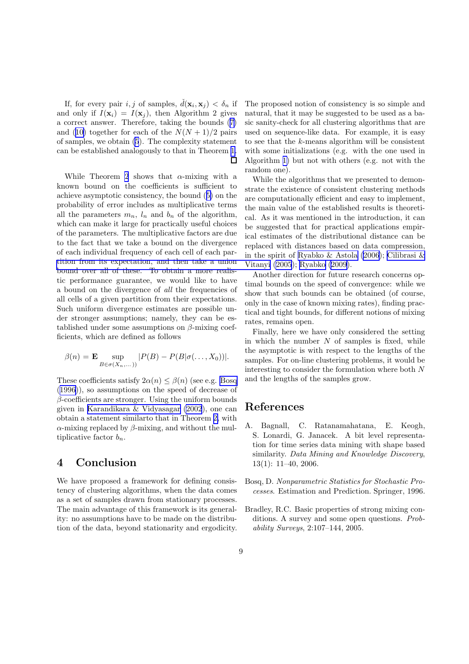<span id="page-9-0"></span>If, for every pair  $i, j$  of samples,  $\check{d}(\mathbf{x}_i, \mathbf{x}_j) < \delta_n$  if and only if  $I(\mathbf{x}_i) = I(\mathbf{x}_j)$ , then Algorithm 2 gives a correct answer. Therefore, taking the bounds([7\)](#page-8-0) and([10\)](#page-8-0) together for each of the  $N(N+1)/2$  pairs of samples, we obtain [\(5](#page-8-0)). The complexity statement can be established analogously to that in Theorem [1.](#page-6-0) П

While Theorem [2](#page-8-0) shows that  $\alpha$ -mixing with a known bound on the coefficients is sufficient to achieve asymptotic consistency, the bound([5\)](#page-8-0) on the probability of error includes as multiplicative terms all the parameters  $m_n$ ,  $l_n$  and  $b_n$  of the algorithm, which can make it large for practically useful choices of the parameters. The multiplicative factors are due to the fact that we take a bound on the divergence of each individual frequency of each cell of each par[tition from its expectation, and then take a union](#page-10-0) bound over all of these. To obtain a more realistic performance guarantee, we would like to have a bound on the divergence of all the frequencies of all cells of a given partition from their expectations. Such uniform divergence estimates are possible under stronger assumptions; namely, they can be established under some assumptions on  $\beta$ -mixing coefficients, which are defined as follows

$$
\beta(n) = \mathbf{E} \sup_{B \in \sigma(X_n,...)} |P(B) - P(B|\sigma(...,X_0))|.
$$

These coefficients satisfy  $2\alpha(n) \leq \beta(n)$  (see e.g. Bosq (1996)), so assumptions on the speed of decrease of  $\beta$ -coefficients are stronger. Using the uniform bounds given in [Karandikara & Vidyasagar \(2002](#page-10-0)), one can obtain a statement similarto that in Theorem [2,](#page-8-0) with  $\alpha$ -mixing replaced by  $\beta$ -mixing, and without the multiplicative factor  $b_n$ .

### 4 Conclusion

We have proposed a framework for defining consistency of clustering algorithms, when the data comes as a set of samples drawn from stationary processes. The main advantage of this framework is its generality: no assumptions have to be made on the distribution of the data, beyond stationarity and ergodicity. The proposed notion of consistency is so simple and natural, that it may be suggested to be used as a basic sanity-check for all clustering algorithms that are used on sequence-like data. For example, it is easy to see that the k-means algorithm will be consistent with some initializations (e.g. with the one used in Algorithm [1\)](#page-5-0) but not with others (e.g. not with the random one).

While the algorithms that we presented to demonstrate the existence of consistent clustering methods are computationally efficient and easy to implement, the main value of the established results is theoretical. As it was mentioned in the introduction, it can be suggested that for practical applications empirical estimates of the distributional distance can be replaced with distances based on data compression, in the spirit of [Ryabko & Astola \(2006](#page-10-0)); [Cilibrasi &](#page-10-0) Vitanyi [\(2005](#page-10-0)); [Ryabko \(2009](#page-10-0)).

Another direction for future research concerns optimal bounds on the speed of convergence: while we show that such bounds can be obtained (of course, only in the case of known mixing rates), finding practical and tight bounds, for different notions of mixing rates, remains open.

Finally, here we have only considered the setting in which the number  $N$  of samples is fixed, while the asymptotic is with respect to the lengths of the samples. For on-line clustering problems, it would be interesting to consider the formulation where both N and the lengths of the samples grow.

#### References

- A. Bagnall, C. Ratanamahatana, E. Keogh, S. Lonardi, G. Janacek. A bit level representation for time series data mining with shape based similarity. Data Mining and Knowledge Discovery, 13(1): 11–40, 2006.
- Bosq, D. Nonparametric Statistics for Stochastic Processes. Estimation and Prediction. Springer, 1996.
- Bradley, R.C. Basic properties of strong mixing conditions. A survey and some open questions. Probability Surveys, 2:107–144, 2005.